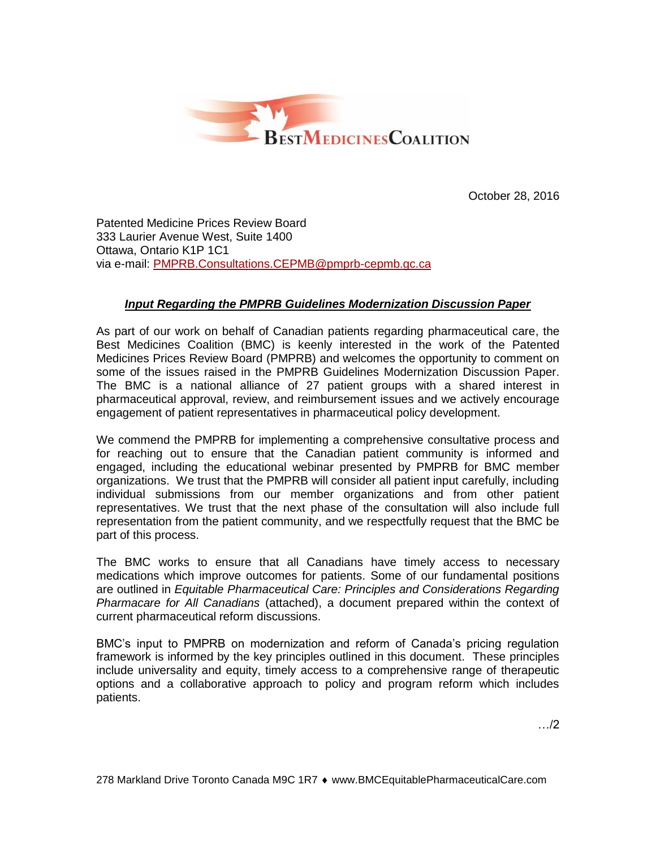

October 28, 2016

Patented Medicine Prices Review Board 333 Laurier Avenue West, Suite 1400 Ottawa, Ontario K1P 1C1 via e-mail: [PMPRB.Consultations.CEPMB@pmprb-cepmb.gc.ca](mailto:PMPRB.Consultations.CEPMB@pmprb-cepmb.gc.ca)

# *Input Regarding the PMPRB Guidelines Modernization Discussion Paper*

As part of our work on behalf of Canadian patients regarding pharmaceutical care, the Best Medicines Coalition (BMC) is keenly interested in the work of the Patented Medicines Prices Review Board (PMPRB) and welcomes the opportunity to comment on some of the issues raised in the PMPRB Guidelines Modernization Discussion Paper. The BMC is a national alliance of 27 patient groups with a shared interest in pharmaceutical approval, review, and reimbursement issues and we actively encourage engagement of patient representatives in pharmaceutical policy development.

We commend the PMPRB for implementing a comprehensive consultative process and for reaching out to ensure that the Canadian patient community is informed and engaged, including the educational webinar presented by PMPRB for BMC member organizations. We trust that the PMPRB will consider all patient input carefully, including individual submissions from our member organizations and from other patient representatives. We trust that the next phase of the consultation will also include full representation from the patient community, and we respectfully request that the BMC be part of this process.

The BMC works to ensure that all Canadians have timely access to necessary medications which improve outcomes for patients. Some of our fundamental positions are outlined in *Equitable Pharmaceutical Care: Principles and Considerations Regarding Pharmacare for All Canadians* (attached), a document prepared within the context of current pharmaceutical reform discussions.

BMC's input to PMPRB on modernization and reform of Canada's pricing regulation framework is informed by the key principles outlined in this document. These principles include universality and equity, timely access to a comprehensive range of therapeutic options and a collaborative approach to policy and program reform which includes patients.

…/2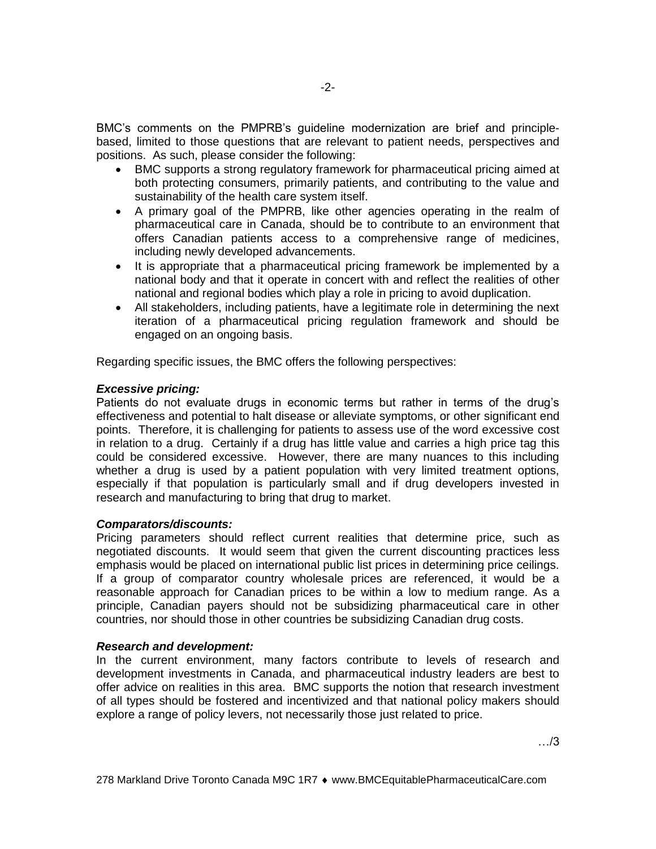BMC's comments on the PMPRB's guideline modernization are brief and principlebased, limited to those questions that are relevant to patient needs, perspectives and positions. As such, please consider the following:

- BMC supports a strong regulatory framework for pharmaceutical pricing aimed at both protecting consumers, primarily patients, and contributing to the value and sustainability of the health care system itself.
- A primary goal of the PMPRB, like other agencies operating in the realm of pharmaceutical care in Canada, should be to contribute to an environment that offers Canadian patients access to a comprehensive range of medicines, including newly developed advancements.
- It is appropriate that a pharmaceutical pricing framework be implemented by a national body and that it operate in concert with and reflect the realities of other national and regional bodies which play a role in pricing to avoid duplication.
- All stakeholders, including patients, have a legitimate role in determining the next iteration of a pharmaceutical pricing regulation framework and should be engaged on an ongoing basis.

Regarding specific issues, the BMC offers the following perspectives:

## *Excessive pricing:*

Patients do not evaluate drugs in economic terms but rather in terms of the drug's effectiveness and potential to halt disease or alleviate symptoms, or other significant end points. Therefore, it is challenging for patients to assess use of the word excessive cost in relation to a drug. Certainly if a drug has little value and carries a high price tag this could be considered excessive. However, there are many nuances to this including whether a drug is used by a patient population with very limited treatment options, especially if that population is particularly small and if drug developers invested in research and manufacturing to bring that drug to market.

## *Comparators/discounts:*

Pricing parameters should reflect current realities that determine price, such as negotiated discounts. It would seem that given the current discounting practices less emphasis would be placed on international public list prices in determining price ceilings. If a group of comparator country wholesale prices are referenced, it would be a reasonable approach for Canadian prices to be within a low to medium range. As a principle, Canadian payers should not be subsidizing pharmaceutical care in other countries, nor should those in other countries be subsidizing Canadian drug costs.

## *Research and development:*

In the current environment, many factors contribute to levels of research and development investments in Canada, and pharmaceutical industry leaders are best to offer advice on realities in this area. BMC supports the notion that research investment of all types should be fostered and incentivized and that national policy makers should explore a range of policy levers, not necessarily those just related to price.